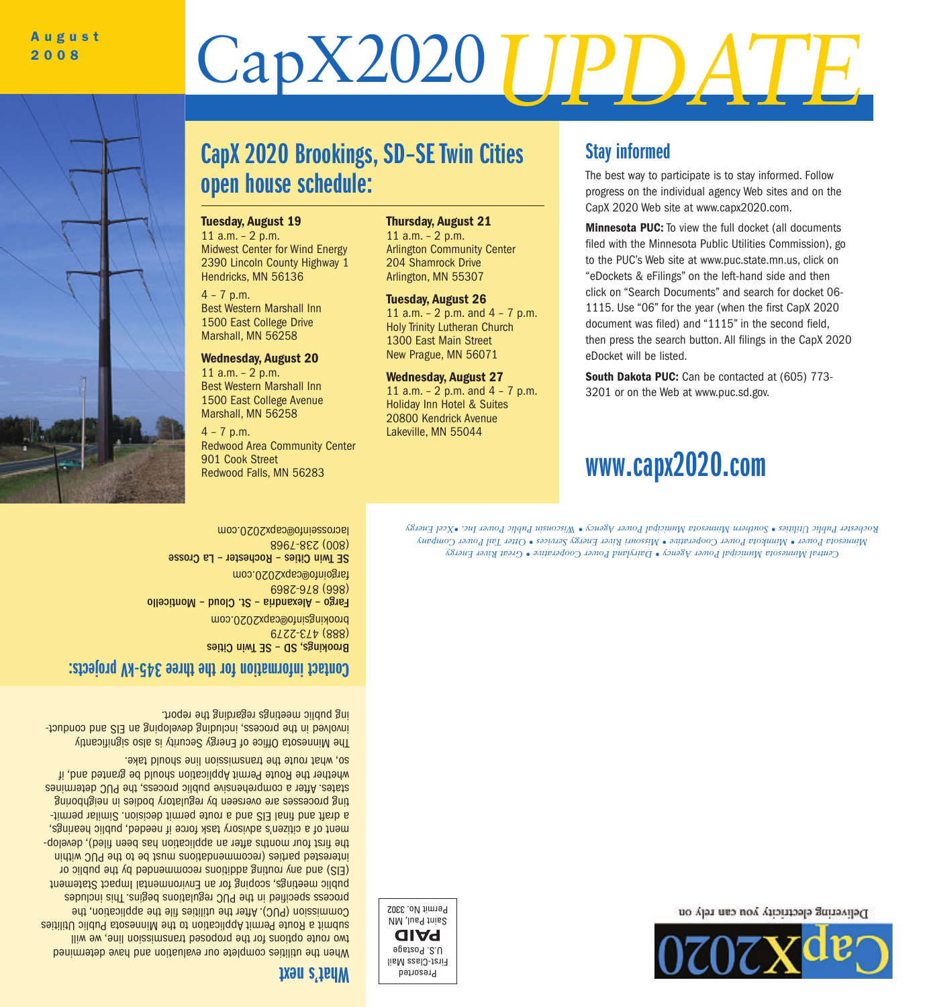

# CapX2020

## CapX 2020 Brookings, SD-SE Twin Cities open house schedule:

### Tuesday, August 19

11 a.m. – 2 p.m. Midwest Center for Wind Energy 2390 Lincoln County Highway 1 Hendricks, MN 56136

 $4 - 7$  p.m. Best Western Marshall Inn 1500 East College Drive

Marshall, MN 56258

Wednesday, August 20

11 a.m. – 2 p.m. Best Western Marshall Inn 1500 East College Avenue Marshall, MN 56258

 $4 - 7$  p.m. Redwood Area Community Center 901 Cook Street Redwood Falls, MN 56283

### Thursday, August 21

11 a.m. – 2 p.m. Arlington Community Center 204 Shamrock Drive Arlington, MN 55307

Tuesday, August 26

11 a.m. – 2 p.m. and 4 – 7 p.m. Holy Trinity Lutheran Church 1300 East Main Street New Prague, MN 56071

Wednesday, August 27 11 a.m. – 2 p.m. and 4 – 7 p.m. Holiday Inn Hotel & Suites 20800 Kendrick Avenue Lakeville, MN 55044

## Stay informed

The best way to participate is to stay informed. Follow progress on the individual agency Web sites and on the CapX 2020 Web site at www.capx2020.com.

Minnesota PUC: To view the full docket (all documents filed with the Minnesota Public Utilities Commission), go to the PUC's Web site at www.puc.state.mn.us, click on "eDockets & eFilings" on the left-hand side and then click on "Search Documents" and search for docket 06- 1115. Use "06" for the year (when the first CapX 2020 document was filed) and "1115" in the second field, then press the search button. All filings in the CapX 2020 eDocket will be listed.

South Dakota PUC: Can be contacted at (605) 773-3201 or on the Web at www.puc.sd.gov.

# www.capx2020.com

*Energy River Great • Cooperative Power Dairyland • Agency Power Municipal Minnesota Central Company Power il Ta Otter • Services Energy River Missouri • Cooperative Power Minnkota • Power Minnesota* Rochester Public Leilities . Southern Minnsin Annicipal Power Agency Wisconsin Public Power Inc. . Scel Energy

473-2279 (888) moo.0S0Sxqso®otnizgnixloord Fargo - Alexandria - St. Cloud - Monticello 6987-918 (998) moo.0S0Sxq6o@otniog16t SE Twin Cities - Rochester - La Crosse 238-7968 (800) lacrosseinfo@capx20.com

## Contact information for the three 345-kV projects:

I he Minnesota Office of Energy Security is also significantly nophoed in the blocese' including generobing an eight particity

so, what route the transmissional line and take.

Ing buplic meetings regarding the report.

Brookings, SD - SE Twin Cities





## **TX9N** S'J6NW

When the utilities complete our evaluation and have determined Iliw sw toute options for the proposed transmission in swill seitilitud oildud stosennim ent ot rhoities and prince a sublice Commission (PUC). After the utilities the and application, the process speringen in the PUC regulations begins in the inductional Public meetings, scoping for an Environmental Inpact Statement o bilduq ent yd bebneammended by the busing or within DUG tecommendations and the part is put in the put in the must make the first four months after an application has deed intelly development of a citizen's advisory task force if needed, public hearings, a draft bue Similar and a route permit decision. Similar permitting processes are overseen by regulatory bodies in neighboring senimes deter a comprehensive public process, the PUC determines whethe and, and a phould be should be applicated and, if